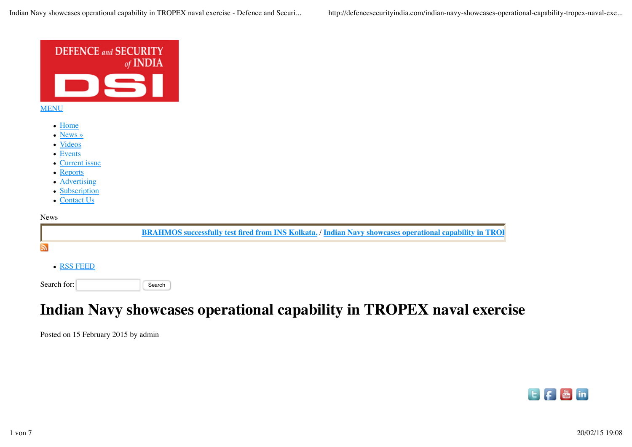

# **Indian Navy showcases operational capability in TROPEX naval exercise**

Posted on 15 February 2015 by admin

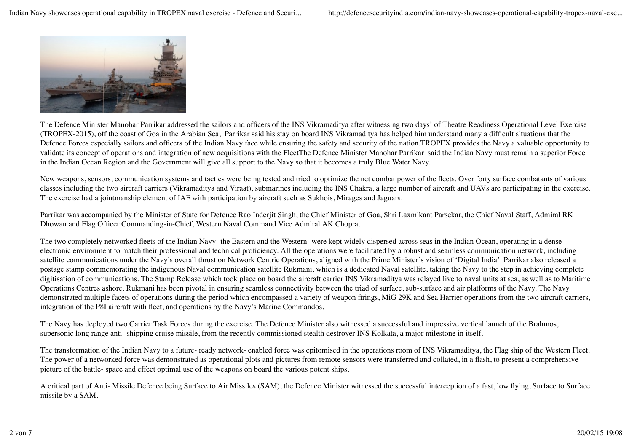

The Defence Minister Manohar Parrikar addressed the sailors and officers of the INS Vikramaditya after witnessing two days' of Theatre Readiness Operational Level Exercise (TROPEX-2015), off the coast of Goa in the Arabian Sea, Parrikar said his stay on board INS Vikramaditya has helped him understand many a difficult situations that the Defence Forces especially sailors and officers of the Indian Navy face while ensuring the safety and security of the nation.TROPEX provides the Navy a valuable opportunity to validate its concept of operations and integration of new acquisitions with the FleetThe Defence Minister Manohar Parrikar said the Indian Navy must remain a superior Force in the Indian Ocean Region and the Government will give all support to the Navy so that it becomes a truly Blue Water Navy.

New weapons, sensors, communication systems and tactics were being tested and tried to optimize the net combat power of the fleets. Over forty surface combatants of various classes including the two aircraft carriers (Vikramaditya and Viraat), submarines including the INS Chakra, a large number of aircraft and UAVs are participating in the exercise. The exercise had a jointmanship element of IAF with participation by aircraft such as Sukhois, Mirages and Jaguars.

Parrikar was accompanied by the Minister of State for Defence Rao Inderjit Singh, the Chief Minister of Goa, Shri Laxmikant Parsekar, the Chief Naval Staff, Admiral RK Dhowan and Flag Officer Commanding-in-Chief, Western Naval Command Vice Admiral AK Chopra.

The two completely networked fleets of the Indian Navy- the Eastern and the Western- were kept widely dispersed across seas in the Indian Ocean, operating in a dense electronic environment to match their professional and technical proficiency. All the operations were facilitated by a robust and seamless communication network, including satellite communications under the Navy's overall thrust on Network Centric Operations, aligned with the Prime Minister's vision of 'Digital India'. Parrikar also released a postage stamp commemorating the indigenous Naval communication satellite Rukmani, which is a dedicated Naval satellite, taking the Navy to the step in achieving complete digitisation of communications. The Stamp Release which took place on board the aircraft carrier INS Vikramaditya was relayed live to naval units at sea, as well as to Maritime Operations Centres ashore. Rukmani has been pivotal in ensuring seamless connectivity between the triad of surface, sub-surface and air platforms of the Navy. The Navy demonstrated multiple facets of operations during the period which encompassed a variety of weapon firings, MiG 29K and Sea Harrier operations from the two aircraft carriers, integration of the P8I aircraft with fleet, and operations by the Navy's Marine Commandos.

The Navy has deployed two Carrier Task Forces during the exercise. The Defence Minister also witnessed a successful and impressive vertical launch of the Brahmos, supersonic long range anti- shipping cruise missile, from the recently commissioned stealth destroyer INS Kolkata, a major milestone in itself.

The transformation of the Indian Navy to a future- ready network- enabled force was epitomised in the operations room of INS Vikramaditya, the Flag ship of the Western Fleet. The power of a networked force was demonstrated as operational plots and pictures from remote sensors were transferred and collated, in a flash, to present a comprehensive picture of the battle- space and effect optimal use of the weapons on board the various potent ships.

A critical part of Anti- Missile Defence being Surface to Air Missiles (SAM), the Defence Minister witnessed the successful interception of a fast, low flying, Surface to Surface missile by a SAM.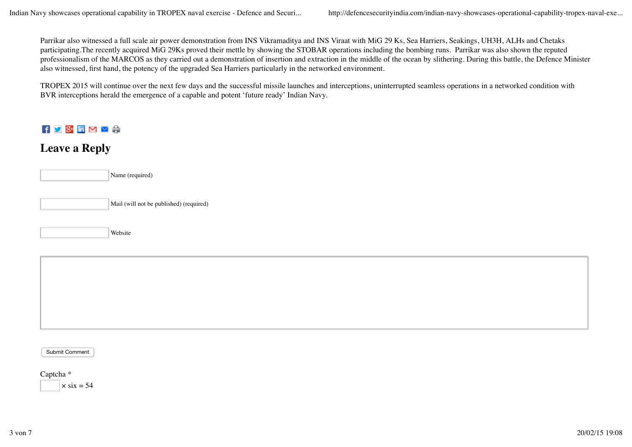Parrikar also witnessed a full scale air power demonstration from INS Vikramaditya and INS Viraat with MiG 29 Ks, Sea Harriers, Seakings, UH3H, ALHs and Chetaks participating.The recently acquired MiG 29Ks proved their mettle by showing the STOBAR operations including the bombing runs. Parrikar was also shown the reputed professionalism of the MARCOS as they carried out a demonstration of insertion and extraction in the middle of the ocean by slithering. During this battle, the Defence Minister also witnessed, first hand, the potency of the upgraded Sea Harriers particularly in the networked environment.

TROPEX 2015 will continue over the next few days and the successful missile launches and interceptions, uninterrupted seamless operations in a networked condition with BVR interceptions herald the emergence of a capable and potent 'future ready' Indian Navy.

#### $\mathbf{F} \times \mathbb{S}^+$  in  $\mathbf{M} \times \mathbb{S}^+$

#### **Leave a Reply**

| Name (required)                         |
|-----------------------------------------|
| Mail (will not be published) (required) |
| Website                                 |

Submit Comment

## Captcha \*

 $\times$  six = 54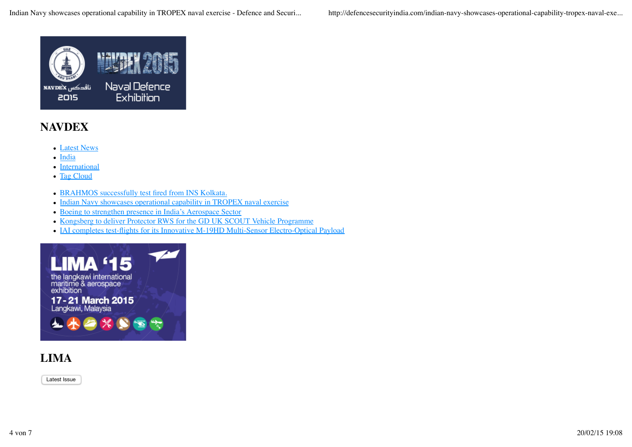

### **NAVDEX**

- Latest News
- India
- International
- Tag Cloud
- BRAHMOS successfully test fired from INS Kolkata.
- Indian Navy showcases operational capability in TROPEX naval exercise
- Boeing to strengthen presence in India's Aerospace Sector
- Kongsberg to deliver Protector RWS for the GD UK SCOUT Vehicle Programme
- IAI completes test-flights for its Innovative M-19HD Multi-Sensor Electro-Optical Payload



### **LIMA**

Latest Issue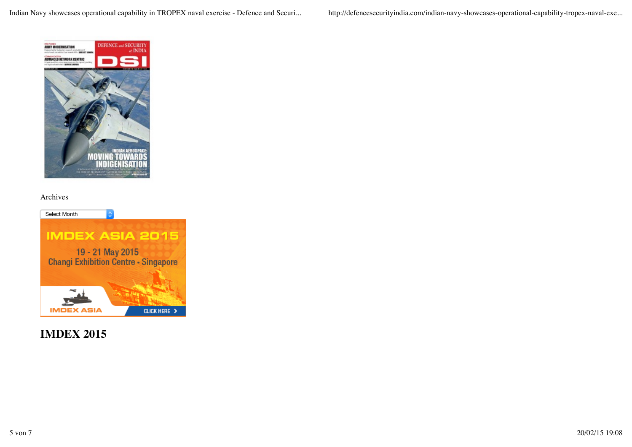Indian Navy showcases operational capability in TROPEX naval exercise - Defence and Securi... http://defencesecurityindia.com/indian-navy-showcases-operational-capability-tropex-naval-exe...



#### Archives



**IMDEX 2015**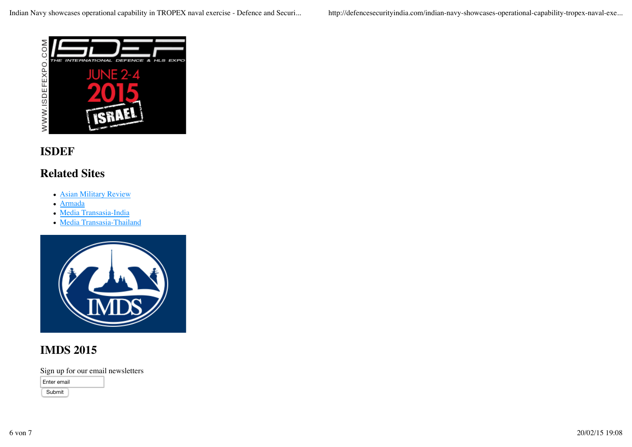

#### **ISDEF**

#### **Related Sites**

- Asian Military Review
- Armada
- Media Transasia-India
- Media Transasia-Thailand



#### **IMDS 2015**

Sign up for our email newsletters

| Enter email |  |
|-------------|--|
|             |  |

Submit